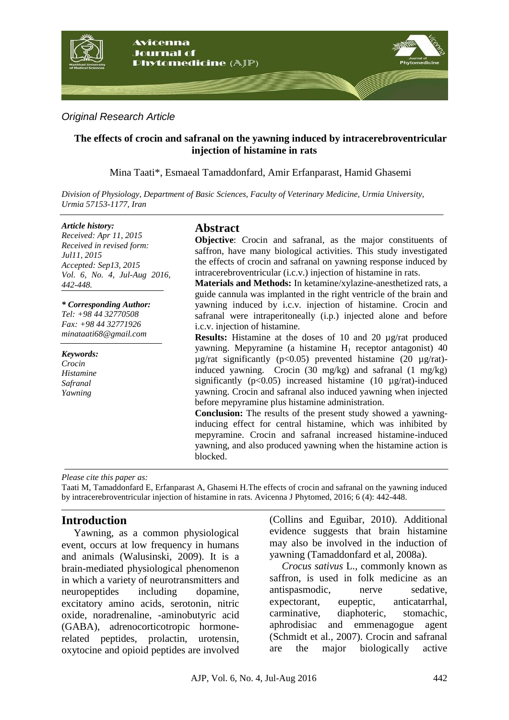

# *Original Research Article*

### **The effects of crocin and safranal on the yawning induced by intracerebroventricular injection of histamine in rats**

Mina Taati\*, Esmaeal Tamaddonfard, Amir Erfanparast, Hamid Ghasemi

*Division of Physiology, Department of Basic Sciences, Faculty of Veterinary Medicine, Urmia University, Urmia 57153-1177, Iran*

#### *Article history:*

*Received: Apr 11, 2015 Received in revised form: Jul11, 2015 Accepted: Sep13, 2015 Vol. 6, No. 4, Jul-Aug 2016, 442-448.*

#### *\* Corresponding Author:*

*Tel: +98 44 32770508 Fax: +98 44 32771926 minataati68@gmail.com*

*Keywords: Crocin Histamine Safranal Yawning*

### **Abstract**

**Objective:** Crocin and safranal, as the major constituents of saffron, have many biological activities. This study investigated the effects of crocin and safranal on yawning response induced by intracerebroventricular (i.c.v.) injection of histamine in rats.

**Materials and Methods:** In ketamine/xylazine-anesthetized rats, a guide cannula was implanted in the right ventricle of the brain and yawning induced by i.c.v. injection of histamine. Crocin and safranal were intraperitoneally (i.p.) injected alone and before i.c.v. injection of histamine.

**Results:** Histamine at the doses of 10 and 20 µg/rat produced yawning. Mepyramine (a histamine  $H_1$  receptor antagonist) 40  $\mu$ g/rat significantly (p<0.05) prevented histamine (20  $\mu$ g/rat)induced yawning. Crocin (30 mg/kg) and safranal (1 mg/kg) significantly  $(p<0.05)$  increased histamine (10  $\mu$ g/rat)-induced yawning. Crocin and safranal also induced yawning when injected before mepyramine plus histamine administration.

**Conclusion:** The results of the present study showed a yawninginducing effect for central histamine, which was inhibited by mepyramine. Crocin and safranal increased histamine-induced yawning, and also produced yawning when the histamine action is blocked.

*Please cite this paper as:* 

Taati M, Tamaddonfard E, Erfanparast A, Ghasemi H.The effects of crocin and safranal on the yawning induced by intracerebroventricular injection of histamine in rats. Avicenna J Phytomed, 2016; 6 (4): 442-448.

# **Introduction**

Yawning, as a common physiological event, occurs at low frequency in humans and animals (Walusinski, 2009). It is a brain-mediated physiological phenomenon in which a variety of neurotransmitters and neuropeptides including dopamine, excitatory amino acids, serotonin, nitric oxide, noradrenaline, -aminobutyric acid (GABA), adrenocorticotropic hormonerelated peptides, prolactin, urotensin, oxytocine and opioid peptides are involved (Collins and Eguibar, 2010). Additional evidence suggests that brain histamine may also be involved in the induction of yawning (Tamaddonfard et al, 2008a).

*Crocus sativus* L.*,* commonly known as saffron, is used in folk medicine as an antispasmodic, nerve sedative, expectorant, eupeptic, anticatarrhal, carminative, diaphoteric, stomachic, aphrodisiac and emmenagogue agent (Schmidt et al., 2007). Crocin and safranal are the major biologically active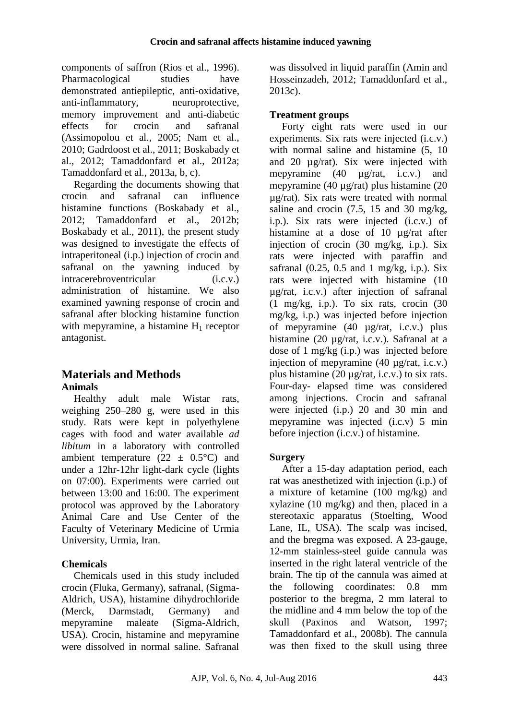components of saffron (Rios et al., 1996). Pharmacological studies have demonstrated antiepileptic, anti-oxidative, anti-inflammatory, neuroprotective, memory improvement and anti-diabetic effects for crocin and safranal (Assimopolou et al., 2005; Nam et al., 2010; Gadrdoost et al., 2011; Boskabady et al., 2012; Tamaddonfard et al., 2012a; Tamaddonfard et al., 2013a, b, c).

Regarding the documents showing that crocin and safranal can influence histamine functions (Boskabady et al., 2012; Tamaddonfard et al., 2012b; Boskabady et al., 2011), the present study was designed to investigate the effects of intraperitoneal (i.p.) injection of crocin and safranal on the yawning induced by intracerebroventricular (i.c.v.) administration of histamine. We also examined yawning response of crocin and safranal after blocking histamine function with mepyramine, a histamine  $H_1$  receptor antagonist.

# **Materials and Methods Animals**

Healthy adult male Wistar rats, weighing 250–280 g, were used in this study. Rats were kept in polyethylene cages with food and water available *ad libitum* in a laboratory with controlled ambient temperature  $(22 \pm 0.5^{\circ}C)$  and under a 12hr-12hr light-dark cycle (lights on 07:00). Experiments were carried out between 13:00 and 16:00. The experiment protocol was approved by the Laboratory Animal Care and Use Center of the Faculty of Veterinary Medicine of Urmia University, Urmia, Iran.

# **Chemicals**

Chemicals used in this study included crocin (Fluka, Germany), safranal, (Sigma-Aldrich, USA), histamine dihydrochloride (Merck, Darmstadt, Germany) and mepyramine maleate (Sigma-Aldrich, USA). Crocin, histamine and mepyramine were dissolved in normal saline. Safranal was dissolved in liquid paraffin (Amin and Hosseinzadeh, 2012; Tamaddonfard et al., 2013c).

# **Treatment groups**

Forty eight rats were used in our experiments. Six rats were injected (i.c.v.) with normal saline and histamine  $(5, 10)$ and 20 µg/rat). Six were injected with mepyramine (40 µg/rat, i.c.v.) and mepyramine (40 µg/rat) plus histamine (20 µg/rat). Six rats were treated with normal saline and crocin  $(7.5, 15 \text{ and } 30 \text{ mg/kg})$ , i.p.). Six rats were injected (i.c.v.) of histamine at a dose of 10 µg/rat after injection of crocin (30 mg/kg, i.p.). Six rats were injected with paraffin and safranal  $(0.25, 0.5, \text{ and } 1 \text{ mg/kg}, \text{ i.p.})$ . Six rats were injected with histamine (10 µg/rat, i.c.v.) after injection of safranal (1 mg/kg, i.p.). To six rats, crocin (30 mg/kg, i.p.) was injected before injection of mepyramine (40 µg/rat, i.c.v.) plus histamine (20 µg/rat, i.c.v.). Safranal at a dose of 1 mg/kg (i.p.) was injected before injection of mepyramine (40 µg/rat, i.c.v.) plus histamine (20 µg/rat, i.c.v.) to six rats. Four-day- elapsed time was considered among injections. Crocin and safranal were injected (i.p.) 20 and 30 min and mepyramine was injected (i.c.v) 5 min before injection (i.c.v.) of histamine.

# **Surgery**

After a 15-day adaptation period, each rat was anesthetized with injection (i.p.) of a mixture of ketamine (100 mg/kg) and xylazine (10 mg/kg) and then, placed in a stereotaxic apparatus (Stoelting, Wood Lane, IL, USA). The scalp was incised, and the bregma was exposed. A 23-gauge, 12-mm stainless-steel guide cannula was inserted in the right lateral ventricle of the brain. The tip of the cannula was aimed at the following coordinates: 0.8 mm posterior to the bregma, 2 mm lateral to the midline and 4 mm below the top of the skull (Paxinos and Watson, 1997; Tamaddonfard et al., 2008b). The cannula was then fixed to the skull using three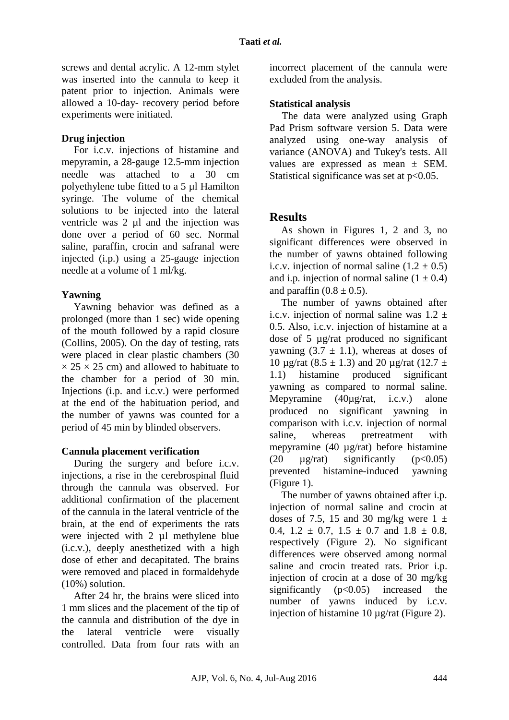screws and dental acrylic. A 12-mm stylet was inserted into the cannula to keep it patent prior to injection. Animals were allowed a 10-day- recovery period before experiments were initiated.

#### **Drug injection**

For i.c.v. injections of histamine and mepyramin, a 28-gauge 12.5-mm injection needle was attached to a 30 cm polyethylene tube fitted to a 5 µl Hamilton syringe. The volume of the chemical solutions to be injected into the lateral ventricle was 2 µl and the injection was done over a period of 60 sec. Normal saline, paraffin, crocin and safranal were injected (i.p.) using a 25-gauge injection needle at a volume of 1 ml/kg.

# **Yawning**

Yawning behavior was defined as a prolonged (more than 1 sec) wide opening of the mouth followed by a rapid closure (Collins, 2005). On the day of testing, rats were placed in clear plastic chambers (30  $\times$  25  $\times$  25 cm) and allowed to habituate to the chamber for a period of 30 min. Injections (i.p. and i.c.v.) were performed at the end of the habituation period, and the number of yawns was counted for a period of 45 min by blinded observers.

# **Cannula placement verification**

During the surgery and before i.c.v. injections, a rise in the cerebrospinal fluid through the cannula was observed. For additional confirmation of the placement of the cannula in the lateral ventricle of the brain, at the end of experiments the rats were injected with 2 µl methylene blue (i.c.v.), deeply anesthetized with a high dose of ether and decapitated. The brains were removed and placed in formaldehyde (10%) solution.

After 24 hr, the brains were sliced into 1 mm slices and the placement of the tip of the cannula and distribution of the dye in the lateral ventricle were visually controlled. Data from four rats with an incorrect placement of the cannula were excluded from the analysis.

### **Statistical analysis**

The data were analyzed using Graph Pad Prism software version 5. Data were analyzed using one-way analysis of variance (ANOVA) and Tukey's tests. All values are expressed as mean ± SEM. Statistical significance was set at  $p<0.05$ .

# **Results**

As shown in Figures 1, 2 and 3, no significant differences were observed in the number of yawns obtained following i.c.v. injection of normal saline  $(1.2 \pm 0.5)$ and i.p. injection of normal saline  $(1 \pm 0.4)$ and paraffin  $(0.8 \pm 0.5)$ .

The number of yawns obtained after i.c.v. injection of normal saline was  $1.2 \pm 1$ 0.5. Also, i.c.v. injection of histamine at a dose of 5 µg/rat produced no significant yawning  $(3.7 \pm 1.1)$ , whereas at doses of 10  $\mu$ g/rat (8.5 ± 1.3) and 20  $\mu$ g/rat (12.7 ± 1.1) histamine produced significant yawning as compared to normal saline. Mepyramine (40µg/rat, i.c.v.) alone produced no significant yawning in comparison with i.c.v. injection of normal saline, whereas pretreatment with mepyramine (40 µg/rat) before histamine (20  $\mu$ g/rat) significantly (p<0.05) prevented histamine-induced yawning (Figure 1).

The number of yawns obtained after i.p. injection of normal saline and crocin at doses of 7.5, 15 and 30 mg/kg were  $1 \pm$ 0.4,  $1.2 \pm 0.7$ ,  $1.5 \pm 0.7$  and  $1.8 \pm 0.8$ , respectively (Figure 2). No significant differences were observed among normal saline and crocin treated rats. Prior i.p. injection of crocin at a dose of 30 mg/kg significantly  $(p<0.05)$  increased the number of yawns induced by i.c.v. injection of histamine 10 µg/rat (Figure 2).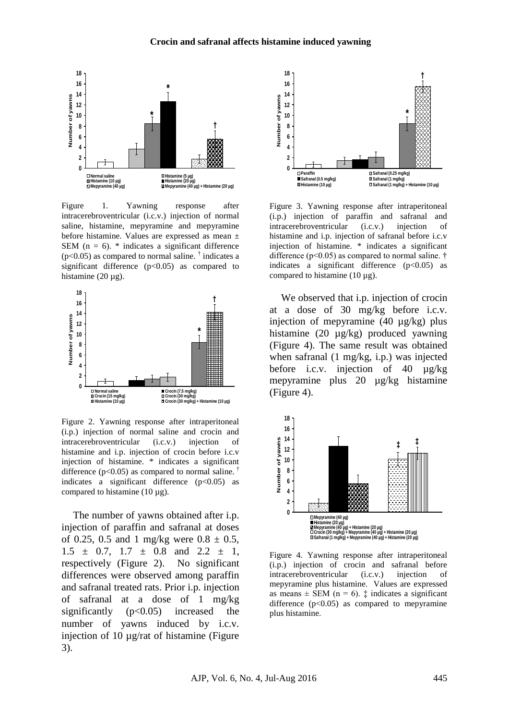

Figure 1. Yawning response after intracerebroventricular (i.c.v.) injection of normal saline, histamine, mepyramine and mepyramine before histamine. Values are expressed as mean ± SEM ( $n = 6$ ).  $*$  indicates a significant difference  $(p<0.05)$  as compared to normal saline. <sup>†</sup> indicates a significant difference  $(p<0.05)$  as compared to histamine  $(20 \mu g)$ .



Figure 2. Yawning response after intraperitoneal (i.p.) injection of normal saline and crocin and intracerebroventricular (i.c.v.) injection of histamine and i.p. injection of crocin before i.c.v injection of histamine. \* indicates a significant difference ( $p<0.05$ ) as compared to normal saline.<sup>†</sup> indicates a significant difference  $(p<0.05)$  as compared to histamine (10  $\mu$ g).

The number of yawns obtained after i.p. injection of paraffin and safranal at doses of 0.25, 0.5 and 1 mg/kg were  $0.8 \pm 0.5$ ,  $1.5 \pm 0.7$ ,  $1.7 \pm 0.8$  and  $2.2 \pm 1$ , respectively (Figure 2). No significant differences were observed among paraffin and safranal treated rats. Prior i.p. injection of safranal at a dose of 1 mg/kg significantly  $(p<0.05)$  increased the number of yawns induced by i.c.v. injection of 10 µg/rat of histamine (Figure 3).



Figure 3. Yawning response after intraperitoneal (i.p.) injection of paraffin and safranal and intracerebroventricular (i.c.v.) injection of histamine and i.p. injection of safranal before i.c.v injection of histamine. \* indicates a significant difference ( $p<0.05$ ) as compared to normal saline. † indicates a significant difference  $(p<0.05)$  as compared to histamine (10 µg).

We observed that i.p. injection of crocin at a dose of 30 mg/kg before i.c.v. injection of mepyramine (40 µg/kg) plus histamine (20 µg/kg) produced yawning (Figure 4). The same result was obtained when safranal (1 mg/kg, i.p.) was injected before i.c.v. injection of 40 µg/kg mepyramine plus 20 µg/kg histamine (Figure 4).



Figure 4. Yawning response after intraperitoneal (i.p.) injection of crocin and safranal before intracerebroventricular (i.c.v.) injection of mepyramine plus histamine. Values are expressed as means  $\pm$  SEM (n = 6).  $\ddagger$  indicates a significant difference  $(p<0.05)$  as compared to mepyramine plus histamine.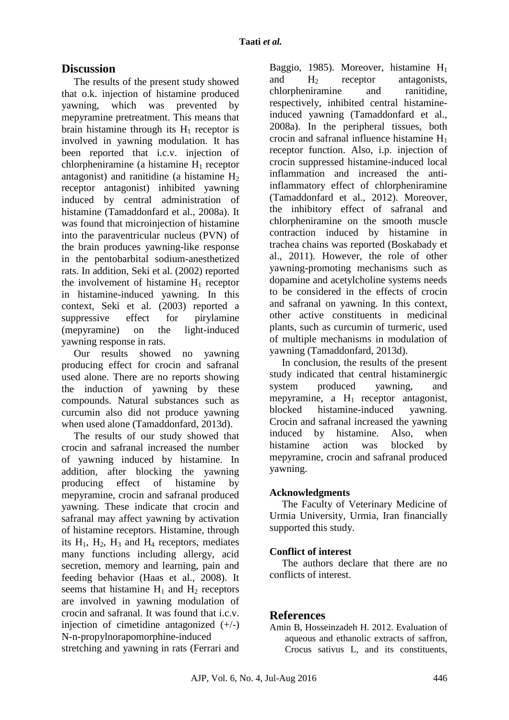# **Discussion**

The results of the present study showed that o.k. injection of histamine produced yawning, which was prevented by mepyramine pretreatment. This means that brain histamine through its  $H_1$  receptor is involved in yawning modulation. It has been reported that i.c.v. injection of chlorpheniramine (a histamine  $H_1$  receptor antagonist) and ranitidine (a histamine  $H_2$ receptor antagonist) inhibited yawning induced by central administration of histamine (Tamaddonfard et al., 2008a). It was found that microinjection of histamine into the paraventricular nucleus (PVN) of the brain produces yawning-like response in the pentobarbital sodium-anesthetized rats. In addition, Seki et al. (2002) reported the involvement of histamine  $H_1$  receptor in histamine-induced yawning. In this context, Seki et al. (2003) reported a suppressive effect for pirylamine (mepyramine) on the light-induced yawning response in rats.

Our results showed no yawning producing effect for crocin and safranal used alone. There are no reports showing the induction of yawning by these compounds. Natural substances such as curcumin also did not produce yawning when used alone (Tamaddonfard, 2013d).

The results of our study showed that crocin and safranal increased the number of yawning induced by histamine. In addition, after blocking the yawning producing effect of histamine by mepyramine, crocin and safranal produced yawning. These indicate that crocin and safranal may affect yawning by activation of histamine receptors. Histamine, through its  $H_1$ ,  $H_2$ ,  $H_3$  and  $H_4$  receptors, mediates many functions including allergy, acid secretion, memory and learning, pain and feeding behavior (Haas et al., 2008). It seems that histamine  $H_1$  and  $H_2$  receptors are involved in yawning modulation of crocin and safranal. It was found that i.e.v. injection of cimetidine antagonized  $(+/-)$ N-n-propylnorapomorphine-induced stretching and yawning in rats (Ferrari and

Baggio, 1985). Moreover, histamine H<sup>1</sup> and  $H_2$  receptor antagonists,<br>chloroheniramine and ranitidine. chlorpheniramine and respectively, inhibited central histamineinduced yawning (Tamaddonfard et al., 2008a). In the peripheral tissues, both crocin and safranal influence histamine  $H_1$ receptor function. Also, i.p. injection of crocin suppressed histamine-induced local inflammation and increased the antiinflammatory effect of chlorpheniramine (Tamaddonfard et al., 2012). Moreover, the inhibitory effect of safranal and chlorpheniramine on the smooth muscle contraction induced by histamine in trachea chains was reported (Boskabady et al., 2011). However, the role of other yawning-promoting mechanisms such as dopamine and acetylcholine systems needs to be considered in the effects of crocin and safranal on yawning. In this context, other active constituents in medicinal plants, such as curcumin of turmeric, used of multiple mechanisms in modulation of yawning (Tamaddonfard, 2013d).

In conclusion, the results of the present study indicated that central histaminergic system produced yawning, and mepyramine, a  $H_1$  receptor antagonist, blocked histamine-induced yawning. Crocin and safranal increased the yawning induced by histamine. Also, when histamine action was blocked by mepyramine, crocin and safranal produced yawning.

#### **Acknowledgments**

The Faculty of Veterinary Medicine of Urmia University, Urmia, Iran financially supported this study.

#### **Conflict of interest**

The authors declare that there are no conflicts of interest.

# **References**

Amin B, Hosseinzadeh H. 2012. Evaluation of aqueous and ethanolic extracts of saffron, Crocus sativus L, and its constituents,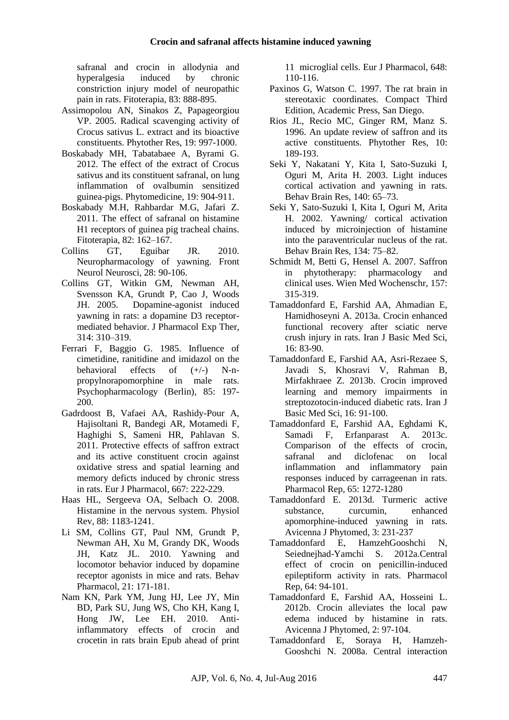safranal and crocin in allodynia and hyperalgesia induced by chronic constriction injury model of neuropathic pain in rats. Fitoterapia, 83: 888-895.

- Assimopolou AN, Sinakos Z, Papageorgiou VP. 2005. Radical scavenging activity of Crocus sativus L. extract and its bioactive constituents. Phytother Res, 19: 997-1000.
- Boskabady MH, Tabatabaee A, Byrami G. 2012. The effect of the extract of Crocus sativus and its constituent safranal, on lung inflammation of ovalbumin sensitized guinea-pigs. Phytomedicine, 19: 904-911.
- Boskabady M.H, Rahbardar M.G, Jafari Z. 2011. The effect of safranal on histamine H1 receptors of guinea pig tracheal chains. Fitoterapia, 82: 162–167.
- Collins GT, Eguibar JR. 2010. Neuropharmacology of yawning. Front Neurol Neurosci, 28: 90-106.
- Collins GT, Witkin GM, Newman AH, Svensson KA, Grundt P, Cao J, Woods JH. 2005. Dopamine-agonist induced yawning in rats: a dopamine D3 receptormediated behavior. J Pharmacol Exp Ther, 314: 310–319.
- Ferrari F, Baggio G. 1985. Influence of cimetidine, ranitidine and imidazol on the behavioral effects of  $(+/-)$  N-npropylnorapomorphine in male rats. Psychopharmacology (Berlin), 85: 197- 200.
- Gadrdoost B, Vafaei AA, Rashidy-Pour A, Hajisoltani R, Bandegi AR, Motamedi F, Haghighi S, Sameni HR, Pahlavan S. 2011. Protective effects of saffron extract and its active constituent crocin against oxidative stress and spatial learning and memory deficts induced by chronic stress in rats. Eur J Pharmacol, 667: 222-229.
- Haas HL, Sergeeva OA, Selbach O. 2008. Histamine in the nervous system. Physiol Rev, 88: 1183-1241.
- Li SM, Collins GT, Paul NM, Grundt P, Newman AH, Xu M, Grandy DK, Woods JH, Katz JL. 2010. Yawning and locomotor behavior induced by dopamine receptor agonists in mice and rats. Behav Pharmacol, 21: 171-181.
- Nam KN, Park YM, Jung HJ, Lee JY, Min BD, Park SU, Jung WS, Cho KH, Kang I, Hong JW, Lee EH. 2010. Antiinflammatory effects of crocin and crocetin in rats brain Epub ahead of print

11 microglial cells. Eur J Pharmacol, 648: 110-116.

- Paxinos G, Watson C. 1997. The rat brain in stereotaxic coordinates. Compact Third Edition, Academic Press, San Diego.
- Rios JL, Recio MC, Ginger RM, Manz S. 1996. An update review of saffron and its active constituents. Phytother Res, 10: 189-193.
- Seki Y, Nakatani Y, Kita I, Sato-Suzuki I, Oguri M, Arita H. 2003. Light induces cortical activation and yawning in rats. Behav Brain Res, 140: 65–73.
- Seki Y, Sato-Suzuki I, Kita I, Oguri M, Arita H. 2002. Yawning/ cortical activation induced by microinjection of histamine into the paraventricular nucleus of the rat. Behav Brain Res, 134: 75–82.
- Schmidt M, Betti G, Hensel A. 2007. Saffron in phytotherapy: pharmacology and clinical uses. Wien Med Wochenschr, 157: 315-319.
- Tamaddonfard E, Farshid AA, Ahmadian E, Hamidhoseyni A. 2013a. Crocin enhanced functional recovery after sciatic nerve crush injury in rats. Iran J Basic Med Sci, 16: 83-90.
- Tamaddonfard E, Farshid AA, Asri-Rezaee S, Javadi S, Khosravi V, Rahman B, Mirfakhraee Z. 2013b. Crocin improved learning and memory impairments in streptozotocin-induced diabetic rats. Iran J Basic Med Sci, 16: 91-100.
- Tamaddonfard E, Farshid AA, Eghdami K, Samadi F, Erfanparast A. 2013c. Comparison of the effects of crocin. safranal and diclofenac on local inflammation and inflammatory pain responses induced by carrageenan in rats. Pharmacol Rep, 65: 1272-1280
- Tamaddonfard E. 2013d. Turmeric active substance, curcumin, enhanced apomorphine-induced yawning in rats. Avicenna J Phytomed, 3: 231-237
- Tamaddonfard E, HamzehGooshchi N, Seiednejhad-Yamchi S. 2012a.Central effect of crocin on penicillin-induced epileptiform activity in rats. Pharmacol Rep, 64: 94-101.
- Tamaddonfard E, Farshid AA, Hosseini L. 2012b. Crocin alleviates the local paw edema induced by histamine in rats. Avicenna J Phytomed, 2: 97-104.
- Tamaddonfard E, Soraya H, Hamzeh-Gooshchi N. 2008a. Central interaction